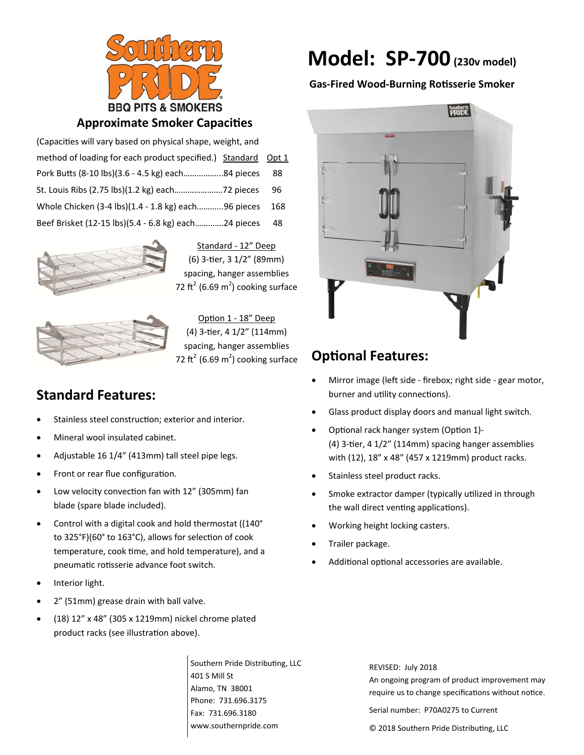

## **Approximate Smoker Capacities**

| (Capacities will vary based on physical shape, weight, and    |     |
|---------------------------------------------------------------|-----|
| method of loading for each product specified.) Standard Opt 1 |     |
| Pork Butts (8-10 lbs)(3.6 - 4.5 kg) each84 pieces             | 88  |
| St. Louis Ribs (2.75 lbs)(1.2 kg) each72 pieces               | 96  |
| Whole Chicken (3-4 lbs)(1.4 - 1.8 kg) each96 pieces           | 168 |
| Beef Brisket (12-15 lbs)(5.4 - 6.8 kg) each24 pieces          | 48  |



Standard ‐ 12" Deep (6) 3‐Ɵer, 3 1/2" (89mm) spacing, hanger assemblies 72 ft<sup>2</sup> (6.69 m<sup>2</sup>) cooking surface



Option 1 - 18" Deep (4) 3‐Ɵer, 4 1/2" (114mm) spacing, hanger assemblies 72 ft<sup>2</sup> (6.69 m<sup>2</sup>) cooking surface

# **Standard Features:**

- Stainless steel construction; exterior and interior.
- Mineral wool insulated cabinet.
- Adjustable 16 1/4" (413mm) tall steel pipe legs.
- Front or rear flue configuration.
- Low velocity convection fan with 12" (305mm) fan blade (spare blade included).
- Control with a digital cook and hold thermostat ((140° to 325°F)(60° to 163°C), allows for selection of cook temperature, cook time, and hold temperature), and a pneumatic rotisserie advance foot switch.
- Interior light.
- 2" (51mm) grease drain with ball valve.
- (18) 12" x 48" (305 x 1219mm) nickel chrome plated product racks (see illustration above).

Southern Pride Distributing, LLC 401 S Mill St Alamo, TN 38001 Phone: 731.696.3175 Fax: 731.696.3180 www.southernpride.com

# **Model: SP‐700(230v model)**

## **Gas‐Fired Wood‐Burning RoƟsserie Smoker**



# **OpƟonal Features:**

- Mirror image (left side ‐ firebox; right side ‐ gear motor, burner and utility connections).
- Glass product display doors and manual light switch.
- Optional rack hanger system (Option 1)-(4) 3-tier, 4 1/2" (114mm) spacing hanger assemblies with (12), 18" x 48" (457 x 1219mm) product racks.
- Stainless steel product racks.
- Smoke extractor damper (typically utilized in through the wall direct venting applications).
- Working height locking casters.
- Trailer package.
- Additional optional accessories are available.

REVISED: July 2018 An ongoing program of product improvement may require us to change specifications without notice.

Serial number: P70A0275 to Current

© 2018 Southern Pride Distributing, LLC